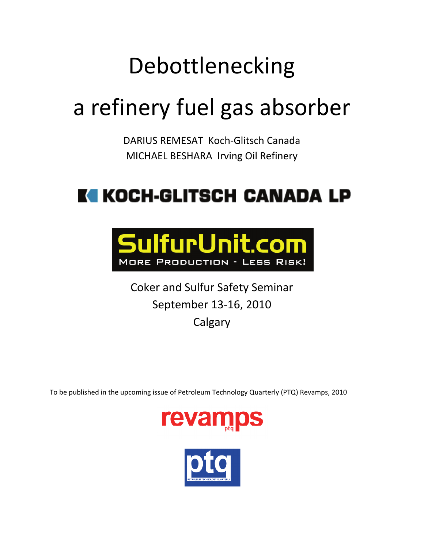# Debottlenecking

# a refinery fuel gas absorber

DARIUS REMESAT Koch‐Glitsch Canada MICHAEL BESHARA Irving Oil Refinery

## KI KOCH-GLITSCH CANADA LP



Coker and Sulfur Safety Seminar September 13‐16, 2010 **Calgary** 

To be published in the upcoming issue of Petroleum Technology Quarterly (PTQ) Revamps, 2010



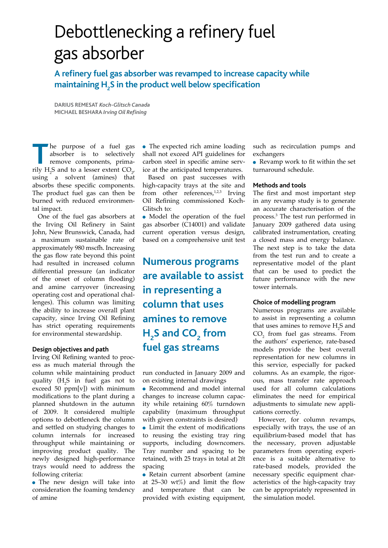## Debottlenecking a refinery fuel gas absorber

**A refinery fuel gas absorber was revamped to increase capacity while maintaining H2 S in the product well below specification** 

**Darius Remesat** *Koch-Glitsch Canada* **Michael Beshara** *Irving Oil Refining*

**T** he purpose of a fuel gas absorber is to selectively remove components, primarily H<sub>2</sub>S and to a lesser extent  $CO_{2'}$ using a solvent (amines) that absorbs these specific components. The product fuel gas can then be burned with reduced environmental impact.

One of the fuel gas absorbers at the Irving Oil Refinery in Saint John, New Brunswick, Canada, had a maximum sustainable rate of approximately 980 mscfh. Increasing the gas flow rate beyond this point had resulted in increased column differential pressure (an indicator of the onset of column flooding) and amine carryover (increasing operating cost and operational challenges). This column was limiting the ability to increase overall plant capacity, since Irving Oil Refining has strict operating requirements for environmental stewardship.

#### **Design objectives and path**

Irving Oil Refining wanted to process as much material through the column while maintaining product quality  $(H_2S)$  in fuel gas not to exceed 50 ppm[v]) with minimum modifications to the plant during a planned shutdown in the autumn of 2009. It considered multiple options to debottleneck the column and settled on studying changes to column internals for increased throughput while maintaining or improving product quality. The newly designed high-performance trays would need to address the following criteria:

• The new design will take into consideration the foaming tendency of amine

• The expected rich amine loading shall not exceed API guidelines for carbon steel in specific amine service at the anticipated temperatures.

Based on past successes with high-capacity trays at the site and from other references, $1,2,3$  Irving Oil Refining commissioned Koch-Glitsch to:

• Model the operation of the fuel gas absorber (C14001) and validate current operation versus design, based on a comprehensive unit test

**Numerous programs are available to assist in representing a column that uses amines to remove**   $H_2$ S and CO<sub>2</sub> from **fuel gas streams**

run conducted in January 2009 and on existing internal drawings

- Recommend and model internal changes to increase column capacity while retaining 60% turndown capability (maximum throughput with given constraints is desired)
- Limit the extent of modifications to reusing the existing tray ring supports, including downcomers. Tray number and spacing to be retained, with 25 trays in total at 2ft spacing

• Retain current absorbent (amine at 25–30 wt%) and limit the flow and temperature that can be provided with existing equipment,

such as recirculation pumps and exchangers

• Revamp work to fit within the set turnaround schedule.

#### **Methods and tools**

The first and most important step in any revamp study is to generate an accurate characterisation of the process.<sup>3</sup> The test run performed in January 2009 gathered data using calibrated instrumentation, creating a closed mass and energy balance. The next step is to take the data from the test run and to create a representative model of the plant that can be used to predict the future performance with the new tower internals.

#### **Choice of modelling program**

Numerous programs are available to assist in representing a column that uses amines to remove  $H_2S$  and  $CO<sub>2</sub>$  from fuel gas streams. From the authors' experience, rate-based models provide the best overall representation for new columns in this service, especially for packed columns. As an example, the rigorous, mass transfer rate approach used for all column calculations eliminates the need for empirical adjustments to simulate new applications correctly.

However, for column revamps, especially with trays, the use of an equilibrium-based model that has the necessary, proven adjustable parameters from operating experience is a suitable alternative to rate-based models, provided the necessary specific equipment characteristics of the high-capacity tray can be appropriately represented in the simulation model.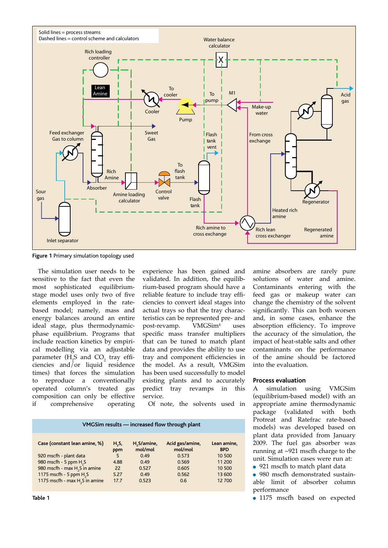

**Figure 1** Primary simulation topology used

The simulation user needs to be sensitive to the fact that even the most sophisticated equilibriumstage model uses only two of five elements employed in the ratebased model; namely, mass and energy balances around an entire ideal stage, plus thermodynamicphase equilibrium. Programs that include reaction kinetics by empirical modelling via an adjustable parameter (H<sub>2</sub>S and CO<sub>2</sub> tray efficiencies and/or liquid residence times) that forces the simulation to reproduce a conventionally operated column's treated gas composition can only be effective if comprehensive operating

experience has been gained and validated. In addition, the equilibrium-based program should have a reliable feature to include tray efficiencies to convert ideal stages into actual trays so that the tray characteristics can be represented pre- and<br>post-revamp. VMGSim<sup>4</sup> uses post-revamp.  $11S<sub>2</sub>$ specific mass transfer multipliers that can be tuned to match plant data and provides the ability to use tray and component efficiencies in the model. As a result, VMGSim has been used successfully to model existing plants and to accurately predict tray revamps in this service.

Of note, the solvents used in

| H,S,<br>ppm | H <sub>2</sub> S/amine,<br>mol/mol | Acid gas/amine,<br>mol/mol | Lean amine,<br><b>BPD</b> |
|-------------|------------------------------------|----------------------------|---------------------------|
| 5           | 0.49                               | 0.573                      | 10 500                    |
| 4.88        | 0.49                               | 0.569                      | 11 200                    |
| 22          | 0.527                              | 0.605                      | 10 500                    |
| 5.27        | 0.49                               | 0.562                      | 13 600                    |
| 17.7        | 0.523                              | 0.6                        | 12 700                    |
|             |                                    |                            |                           |

**VMGSim results — increased flow through plant** 

significantly. This can both worsen and, in some cases, enhance the absorption efficiency. To improve the accuracy of the simulation, the impact of heat-stable salts and other contaminants on the performance of the amine should be factored into the evaluation. **Process evaluation** A simulation using VMGSim

amine absorbers are rarely pure solutions of water and amine. Contaminants entering with the feed gas or makeup water can change the chemistry of the solvent

(equilibrium-based model) with an appropriate amine thermodynamic package (validated with both Protreat and Ratefrac rate-based models) was developed based on plant data provided from January 2009. The fuel gas absorber was running at ~921 mscfh charge to the unit. Simulation cases were run at:

• 921 mscfh to match plant data

• 980 mscfh demonstrated sustainable limit of absorber column performance

• 1175 mscfh based on expected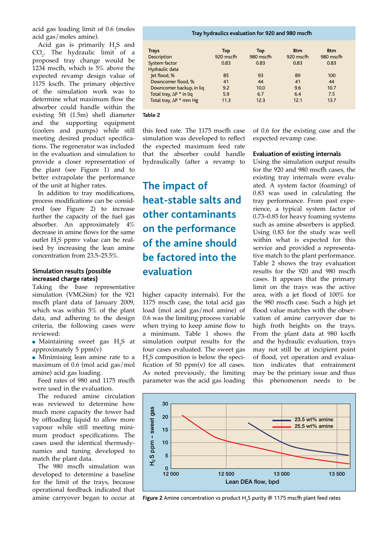acid gas loading limit of 0.6 (moles acid gas/moles amine).

Acid gas is primarily  $H_2S$  and  $CO<sub>2</sub>$ . The hydraulic limit of a proposed tray change would be 1234 mscfh, which is 5% above the expected revamp design value of 1175 kscfh. The primary objective of the simulation work was to determine what maximum flow the absorber could handle within the existing 5ft (1.5m) shell diameter and the supporting equipment (coolers and pumps) while still meeting desired product specifications. The regenerator was included in the evaluation and simulation to provide a closer representation of the plant (see Figure 1) and to better extrapolate the performance of the unit at higher rates.

In addition to tray modifications, process modifications can be considered (see Figure 2) to increase further the capacity of the fuel gas absorber. An approximately 4% decrease in amine flows for the same outlet  $H_2$ S ppmv value can be realised by increasing the lean amine concentration from 23.5–25.5%.

#### **Simulation results (possible increased charge rates)**

Taking the base representative simulation (VMGSim) for the 921 mscfh plant data of January 2009, which was within 5% of the plant data, and adhering to the design criteria, the following cases were reviewed:

• Maintaining sweet gas  $H_2S$  at approximately 5  $ppm(v)$ 

• Minimising lean amine rate to a maximum of 0.6 (mol acid gas/mol amine) acid gas loading.

Feed rates of 980 and 1175 mscfh were used in the evaluation.

The reduced amine circulation was reviewed to determine how much more capacity the tower had by offloading liquid to allow more vapour while still meeting minimum product specifications. The cases used the identical thermodynamics and tuning developed to match the plant data.

The 980 mscfh simulation was developed to determine a baseline for the limit of the trays, because operational feedback indicated that amine carryover began to occur at

#### **Tray hydraulics evaluation for 920 and 980 mscfh**

| <b>Trays</b>                    | Top       | Top       | <b>Btm</b> | <b>Btm</b> |
|---------------------------------|-----------|-----------|------------|------------|
| Description                     | 920 mscfh | 980 mscfh | 920 mscfh  | 980 mscfh  |
| System factor                   | 0.83      | 0.83      | 0.83       | 0.83       |
| Hydraulic data                  |           |           |            |            |
| let flood, %                    | 85        | 93        | 89         | 100        |
| Downcomer flood, %              | 41        | 44        | 41         | 44         |
| Downcomer backup, in lig        | 9.2       | 10.0      | 9.6        | 10.7       |
| Total tray, $\Delta P * in$ liq | 5.9       | 6.7       | 6.4        | 7.5        |
| Total tray, $\Delta P$ * mm Hg  | 11.3      | 12.3      | 12.1       | 13.7       |

#### **Table 2**

this feed rate. The 1175 mscfh case simulation was developed to reflect the expected maximum feed rate that the absorber could handle hydraulically (after a revamp to

### **The impact of heat-stable salts and other contaminants on the performance of the amine should be factored into the evaluation**

higher capacity internals). For the 1175 mscfh case, the total acid gas load (mol acid gas/mol amine) of 0.6 was the limiting process variable when trying to keep amine flow to a minimum. Table 1 shows the simulation output results for the four cases evaluated. The sweet gas  $H_2$ S composition is below the specification of 50  $ppm(v)$  for all cases. As noted previously, the limiting parameter was the acid gas loading of 0.6 for the existing case and the expected revamp case.

#### **Evaluation of existing internals**

Using the simulation output results for the 920 and 980 mscfh cases, the existing tray internals were evaluated. A system factor (foaming) of 0.83 was used in calculating the tray performance. From past experience, a typical system factor of 0.73–0.85 for heavy foaming systems such as amine absorbers is applied. Using 0.83 for the study was well within what is expected for this service and provided a representative match to the plant performance. Table 2 shows the tray evaluation results for the 920 and 980 mscfh cases. It appears that the primary limit on the trays was the active area, with a jet flood of 100% for the 980 mscfh case. Such a high jet flood value matches with the observation of amine carryover due to high froth heights on the trays. From the plant data at 980 kscfh and the hydraulic evaluation, trays may not still be at incipient point of flood, yet operation and evaluation indicates that entrainment may be the primary issue and thus this phenomenon needs to be



Figure 2 Amine concentration vs product H<sub>2</sub>S purity @ 1175 mscfh plant feed rates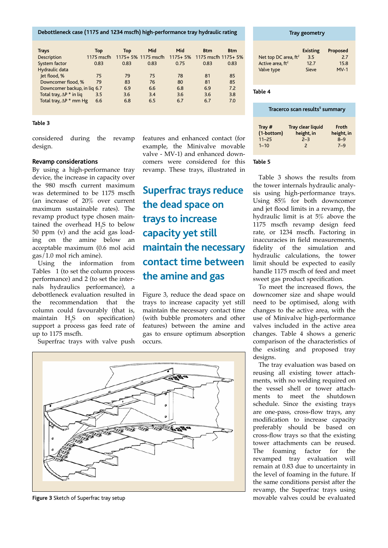**Debottleneck case (1175 and 1234 mscfh) high-performance tray hydraulic rating**

| <b>Trays</b>                    | Top          | Top  | Mid                                              | Mid  | <b>Btm</b> | <b>Btm</b> |
|---------------------------------|--------------|------|--------------------------------------------------|------|------------|------------|
| Description                     | $1175$ mscfh |      | 1175+ 5% 1175 mscfh 1175+ 5% 1175 mscfh 1175+ 5% |      |            |            |
| System factor                   | 0.83         | 0.83 | 0.83                                             | 0.75 | 0.83       | 0.83       |
| Hydraulic data                  |              |      |                                                  |      |            |            |
| let flood, %                    | 75           | 79   | 75                                               | 78   | 81         | 85         |
| Downcomer flood, %              | 79           | 83   | 76                                               | 80   | 81         | 85         |
| Downcomer backup, in liq 6.7    |              | 6.9  | 6.6                                              | 6.8  | 6.9        | 7.2        |
| Total tray, $\Delta P^*$ in lig | 3.5          | 3.6  | 3.4                                              | 3.6  | 3.6        | 3.8        |
| Total tray, $\Delta P$ * mm Hg  | 6.6          | 6.8  | 6.5                                              | 6.7  | 6.7        | 7.0        |
|                                 |              |      |                                                  |      |            |            |

#### **Table 3**

considered during the revamp design.

#### **Revamp considerations**

By using a high-performance tray device, the increase in capacity over the 980 mscfh current maximum was determined to be 1175 mscfh (an increase of 20% over current maximum sustainable rates). The revamp product type chosen maintained the overhead  $H_2S$  to below 50 ppm (v) and the acid gas loading on the amine below an acceptable maximum (0.6 mol acid gas/1.0 mol rich amine).

Using the information from Tables 1 (to set the column process performance) and 2 (to set the internals hydraulics performance), a debottleneck evaluation resulted in<br>the recommendation that the the recommendation column could favourably (that is, maintain  $H_2S$  on specification) support a process gas feed rate of up to 1175 mscfh.

Superfrac trays with valve push

features and enhanced contact (for example, the Minivalve movable valve - MV-1) and enhanced downcomers were considered for this revamp. These trays, illustrated in

### **Superfrac trays reduce the dead space on trays to increase capacity yet still maintain the necessary contact time between the amine and gas**

Figure 3, reduce the dead space on trays to increase capacity yet still maintain the necessary contact time (with bubble promoters and other features) between the amine and gas to ensure optimum absorption occurs.

**CONFERENCE AND THE REAL PROPERTY RADIO** 

**Figure 3** Sketch of Superfrac tray setup

#### **Tray geometry**

|                              | <b>Existing</b> | Proposed |
|------------------------------|-----------------|----------|
| Net top DC area, $ft^2$      | 3.5             | 7.7      |
| Active area, ft <sup>2</sup> | 12.7            | 15.8     |
| Valve type                   | Sieve           | $MV-1$   |

**Table 4**

| Tracerco scan results <sup>5</sup> summary |                          |            |  |
|--------------------------------------------|--------------------------|------------|--|
| Tray #                                     | Tray clear liquid        | Froth      |  |
| (1-bottom)                                 | height, in               | height, in |  |
| $11 - 25$                                  | $2 - 3$                  | $8 - 9$    |  |
| $1 - 10$                                   | $\overline{\phantom{0}}$ | $7 - 9$    |  |

#### **Table 5**

Table 3 shows the results from the tower internals hydraulic analysis using high-performance trays. Using 85% for both downcomer and jet flood limits in a revamp, the hydraulic limit is at 5% above the 1175 mscfh revamp design feed rate, or 1234 mscfh. Factoring in inaccuracies in field measurements, fidelity of the simulation and hydraulic calculations, the tower limit should be expected to easily handle 1175 mscfh of feed and meet sweet gas product specification.

To meet the increased flows, the downcomer size and shape would need to be optimised, along with changes to the active area, with the use of Minivalve high-performance valves included in the active area changes. Table 4 shows a generic comparison of the characteristics of the existing and proposed tray designs.

The tray evaluation was based on reusing all existing tower attachments, with no welding required on the vessel shell or tower attachments to meet the shutdown schedule. Since the existing trays are one-pass, cross-flow trays, any modification to increase capacity preferably should be based on cross-flow trays so that the existing tower attachments can be reused. The foaming factor for the revamped tray evaluation will remain at 0.83 due to uncertainty in the level of foaming in the future. If the same conditions persist after the revamp, the Superfrac trays using movable valves could be evaluated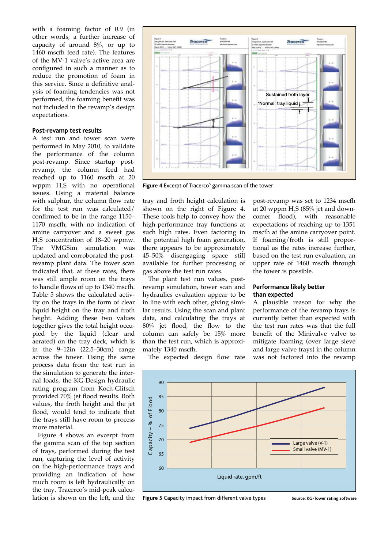with a foaming factor of 0.9 (in other words, a further increase of capacity of around 8%, or up to 1460 mscfh feed rate). The features of the MV-1 valve's active area are configured in such a manner as to reduce the promotion of foam in this service. Since a definitive analysis of foaming tendencies was not performed, the foaming benefit was not included in the revamp's design expectations.

#### **Post-revamp test results**

A test run and tower scan were performed in May 2010, to validate the performance of the column post-revamp. Since startup postrevamp, the column feed had reached up to 1160 mscfh at 20 wppm  $H_2S$  with no operational issues. Using a material balance with sulphur, the column flow rate for the test run was calculated/ confirmed to be in the range 1150– 1170 mscfh, with no indication of amine carryover and a sweet gas  $H_2$ S concentration of 18–20 wpmw. The VMGSim simulation was updated and corroborated the postrevamp plant data. The tower scan indicated that, at these rates, there was still ample room on the trays to handle flows of up to 1340 mscfh. Table 5 shows the calculated activity on the trays in the form of clear liquid height on the tray and froth height. Adding these two values together gives the total height occupied by the liquid (clear and aerated) on the tray deck, which is in the 9–12in (22.5–30cm) range across the tower. Using the same process data from the test run in the simulation to generate the internal loads, the KG-Design hydraulic rating program from Koch-Glitsch provided 70% jet flood results. Both values, the froth height and the jet flood, would tend to indicate that the trays still have room to process more material.

Figure 4 shows an excerpt from the gamma scan of the top section of trays, performed during the test run, capturing the level of activity on the high-performance trays and providing an indication of how much room is left hydraulically on the tray. Tracerco's mid-peak calculation is shown on the left, and the



Figure 4 Excerpt of Tracerco<sup>5</sup> gamma scan of the tower

tray and froth height calculation is shown on the right of Figure 4. These tools help to convey how the high-performance tray functions at such high rates. Even factoring in the potential high foam generation, there appears to be approximately 45–50% disengaging space still available for further processing of gas above the test run rates.

The plant test run values, postrevamp simulation, tower scan and hydraulics evaluation appear to be in line with each other, giving similar results. Using the scan and plant data, and calculating the trays at 80% jet flood, the flow to the column can safely be 15% more than the test run, which is approximately 1340 mscfh.

post-revamp was set to 1234 mscfh at 20 wppm  $H_2S$  (85% jet and downcomer flood), with reasonable expectations of reaching up to 1351 mscfh at the amine carryover point. If foaming/froth is still proportional as the rates increase further, based on the test run evaluation, an upper rate of 1460 mscfh through the tower is possible.

#### **Performance likely better than expected**

A plausible reason for why the performance of the revamp trays is currently better than expected with the test run rates was that the full benefit of the Minivalve valve to mitigate foaming (over large sieve and large valve trays) in the column was not factored into the revamp

The expected design flow rate



**Figure 5** Capacity impact from different valve types Source: KG-Tower rating software